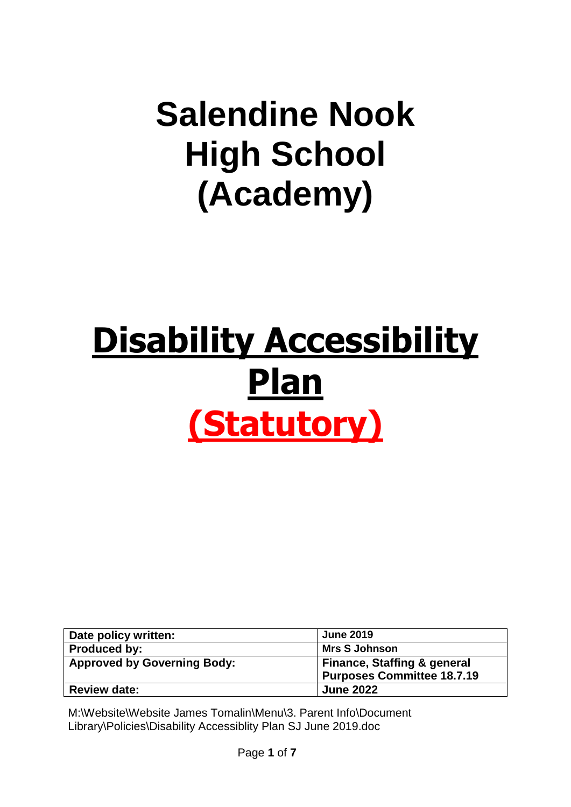# **Salendine Nook High School (Academy)**

# **Disability Accessibility Plan (Statutory)**

| Date policy written:               | <b>June 2019</b>                       |
|------------------------------------|----------------------------------------|
| <b>Produced by:</b>                | <b>Mrs S Johnson</b>                   |
| <b>Approved by Governing Body:</b> | <b>Finance, Staffing &amp; general</b> |
|                                    | <b>Purposes Committee 18.7.19</b>      |
| <b>Review date:</b>                | <b>June 2022</b>                       |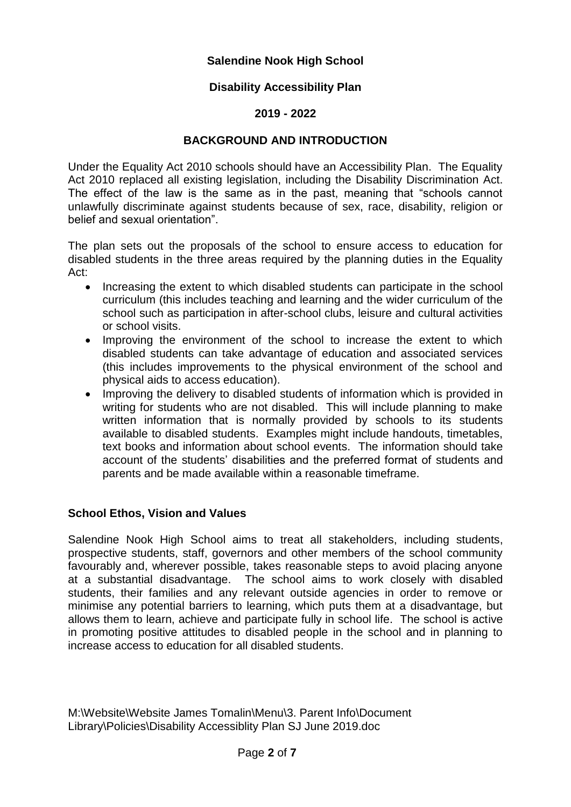#### **Salendine Nook High School**

#### **Disability Accessibility Plan**

#### **2019 - 2022**

#### **BACKGROUND AND INTRODUCTION**

Under the Equality Act 2010 schools should have an Accessibility Plan. The Equality Act 2010 replaced all existing legislation, including the Disability Discrimination Act. The effect of the law is the same as in the past, meaning that "schools cannot unlawfully discriminate against students because of sex, race, disability, religion or belief and sexual orientation".

The plan sets out the proposals of the school to ensure access to education for disabled students in the three areas required by the planning duties in the Equality Act:

- Increasing the extent to which disabled students can participate in the school curriculum (this includes teaching and learning and the wider curriculum of the school such as participation in after-school clubs, leisure and cultural activities or school visits.
- Improving the environment of the school to increase the extent to which disabled students can take advantage of education and associated services (this includes improvements to the physical environment of the school and physical aids to access education).
- Improving the delivery to disabled students of information which is provided in writing for students who are not disabled. This will include planning to make written information that is normally provided by schools to its students available to disabled students. Examples might include handouts, timetables, text books and information about school events. The information should take account of the students' disabilities and the preferred format of students and parents and be made available within a reasonable timeframe.

#### **School Ethos, Vision and Values**

Salendine Nook High School aims to treat all stakeholders, including students, prospective students, staff, governors and other members of the school community favourably and, wherever possible, takes reasonable steps to avoid placing anyone at a substantial disadvantage. The school aims to work closely with disabled students, their families and any relevant outside agencies in order to remove or minimise any potential barriers to learning, which puts them at a disadvantage, but allows them to learn, achieve and participate fully in school life. The school is active in promoting positive attitudes to disabled people in the school and in planning to increase access to education for all disabled students.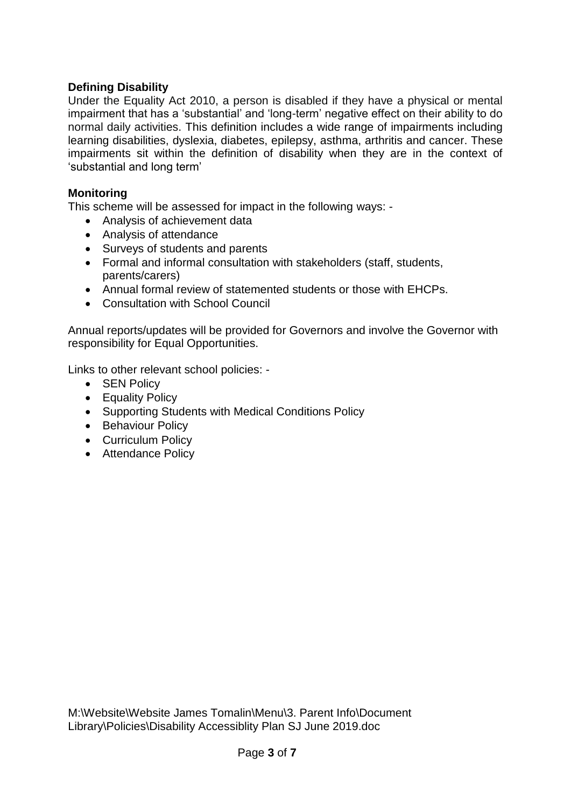## **Defining Disability**

Under the Equality Act 2010, a person is disabled if they have a physical or mental impairment that has a 'substantial' and 'long-term' negative effect on their ability to do normal daily activities. This definition includes a wide range of impairments including learning disabilities, dyslexia, diabetes, epilepsy, asthma, arthritis and cancer. These impairments sit within the definition of disability when they are in the context of 'substantial and long term'

#### **Monitoring**

This scheme will be assessed for impact in the following ways: -

- Analysis of achievement data
- Analysis of attendance
- Surveys of students and parents
- Formal and informal consultation with stakeholders (staff, students, parents/carers)
- Annual formal review of statemented students or those with EHCPs.
- Consultation with School Council

Annual reports/updates will be provided for Governors and involve the Governor with responsibility for Equal Opportunities.

Links to other relevant school policies: -

- SEN Policy
- Equality Policy
- Supporting Students with Medical Conditions Policy
- Behaviour Policy
- Curriculum Policy
- Attendance Policy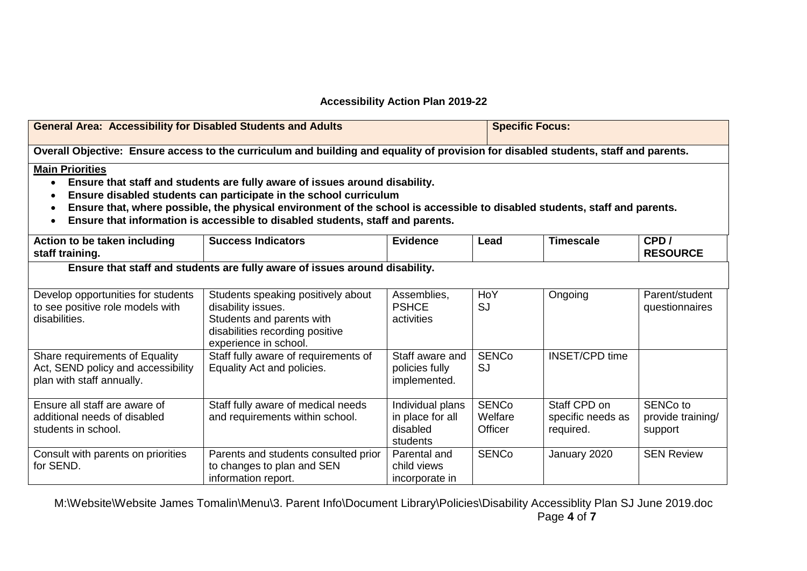#### **Accessibility Action Plan 2019-22**

| <b>General Area: Accessibility for Disabled Students and Adults</b>                                                                                                                                                                                                                                                                                                                                     |                                                                                                                                                   |                                                              | <b>Specific Focus:</b>             |                                                |                                                      |
|---------------------------------------------------------------------------------------------------------------------------------------------------------------------------------------------------------------------------------------------------------------------------------------------------------------------------------------------------------------------------------------------------------|---------------------------------------------------------------------------------------------------------------------------------------------------|--------------------------------------------------------------|------------------------------------|------------------------------------------------|------------------------------------------------------|
| Overall Objective: Ensure access to the curriculum and building and equality of provision for disabled students, staff and parents.                                                                                                                                                                                                                                                                     |                                                                                                                                                   |                                                              |                                    |                                                |                                                      |
| <b>Main Priorities</b><br>Ensure that staff and students are fully aware of issues around disability.<br>Ensure disabled students can participate in the school curriculum<br>Ensure that, where possible, the physical environment of the school is accessible to disabled students, staff and parents.<br>$\bullet$<br>Ensure that information is accessible to disabled students, staff and parents. |                                                                                                                                                   |                                                              |                                    |                                                |                                                      |
| Action to be taken including<br>staff training.                                                                                                                                                                                                                                                                                                                                                         | <b>Success Indicators</b>                                                                                                                         | <b>Evidence</b>                                              | Lead                               | <b>Timescale</b>                               | CPD/<br><b>RESOURCE</b>                              |
| Ensure that staff and students are fully aware of issues around disability.                                                                                                                                                                                                                                                                                                                             |                                                                                                                                                   |                                                              |                                    |                                                |                                                      |
| Develop opportunities for students<br>to see positive role models with<br>disabilities.                                                                                                                                                                                                                                                                                                                 | Students speaking positively about<br>disability issues.<br>Students and parents with<br>disabilities recording positive<br>experience in school. | Assemblies,<br><b>PSHCE</b><br>activities                    | HoY<br><b>SJ</b>                   | Ongoing                                        | Parent/student<br>questionnaires                     |
| Share requirements of Equality<br>Act, SEND policy and accessibility<br>plan with staff annually.                                                                                                                                                                                                                                                                                                       | Staff fully aware of requirements of<br>Equality Act and policies.                                                                                | Staff aware and<br>policies fully<br>implemented.            | <b>SENCo</b><br><b>SJ</b>          | <b>INSET/CPD time</b>                          |                                                      |
| Ensure all staff are aware of<br>additional needs of disabled<br>students in school.                                                                                                                                                                                                                                                                                                                    | Staff fully aware of medical needs<br>and requirements within school.                                                                             | Individual plans<br>in place for all<br>disabled<br>students | <b>SENCo</b><br>Welfare<br>Officer | Staff CPD on<br>specific needs as<br>required. | SENC <sub>o</sub> to<br>provide training/<br>support |
| Consult with parents on priorities<br>for SEND.                                                                                                                                                                                                                                                                                                                                                         | Parents and students consulted prior<br>to changes to plan and SEN<br>information report.                                                         | Parental and<br>child views<br>incorporate in                | <b>SENCo</b>                       | January 2020                                   | <b>SEN Review</b>                                    |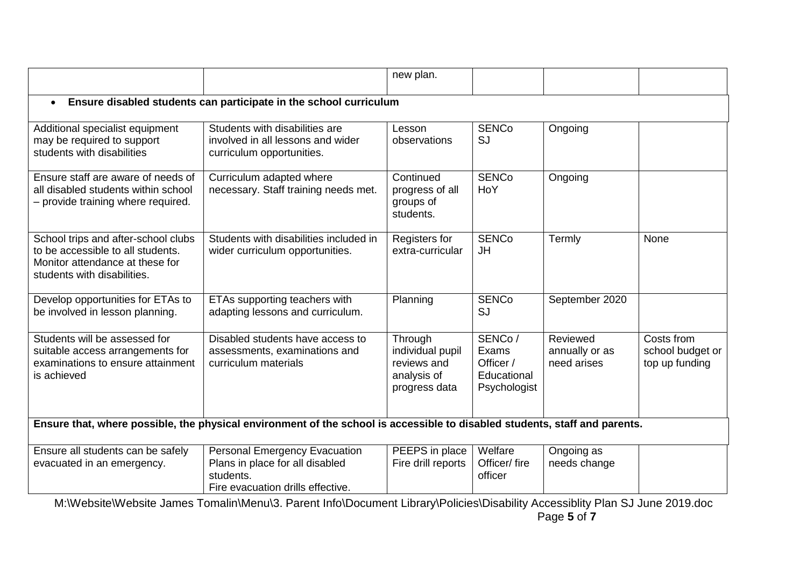|                                                                                                                                            |                                                                                                                           | new plan.                                                                  |                                                             |                                           |                                                  |
|--------------------------------------------------------------------------------------------------------------------------------------------|---------------------------------------------------------------------------------------------------------------------------|----------------------------------------------------------------------------|-------------------------------------------------------------|-------------------------------------------|--------------------------------------------------|
| Ensure disabled students can participate in the school curriculum<br>$\bullet$                                                             |                                                                                                                           |                                                                            |                                                             |                                           |                                                  |
| Additional specialist equipment<br>may be required to support<br>students with disabilities                                                | Students with disabilities are<br>involved in all lessons and wider<br>curriculum opportunities.                          | Lesson<br>observations                                                     | <b>SENCo</b><br><b>SJ</b>                                   | Ongoing                                   |                                                  |
| Ensure staff are aware of needs of<br>all disabled students within school<br>- provide training where required.                            | Curriculum adapted where<br>necessary. Staff training needs met.                                                          | Continued<br>progress of all<br>groups of<br>students.                     | <b>SENCo</b><br>HoY                                         | Ongoing                                   |                                                  |
| School trips and after-school clubs<br>to be accessible to all students.<br>Monitor attendance at these for<br>students with disabilities. | Students with disabilities included in<br>wider curriculum opportunities.                                                 | Registers for<br>extra-curricular                                          | <b>SENCo</b><br>JH                                          | Termly                                    | None                                             |
| Develop opportunities for ETAs to<br>be involved in lesson planning.                                                                       | ETAs supporting teachers with<br>adapting lessons and curriculum.                                                         | Planning                                                                   | <b>SENCo</b><br><b>SJ</b>                                   | September 2020                            |                                                  |
| Students will be assessed for<br>suitable access arrangements for<br>examinations to ensure attainment<br>is achieved                      | Disabled students have access to<br>assessments, examinations and<br>curriculum materials                                 | Through<br>individual pupil<br>reviews and<br>analysis of<br>progress data | SENCo/<br>Exams<br>Officer /<br>Educational<br>Psychologist | Reviewed<br>annually or as<br>need arises | Costs from<br>school budget or<br>top up funding |
| Ensure that, where possible, the physical environment of the school is accessible to disabled students, staff and parents.                 |                                                                                                                           |                                                                            |                                                             |                                           |                                                  |
| Ensure all students can be safely<br>evacuated in an emergency.                                                                            | <b>Personal Emergency Evacuation</b><br>Plans in place for all disabled<br>students.<br>Fire evacuation drills effective. | PEEPS in place<br>Fire drill reports                                       | Welfare<br>Officer/fire<br>officer                          | Ongoing as<br>needs change                |                                                  |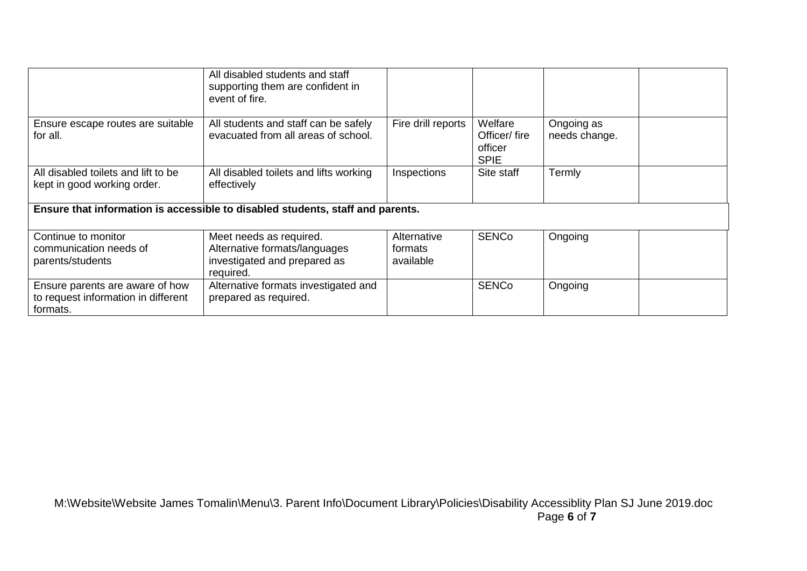|                                                                                    | All disabled students and staff<br>supporting them are confident in<br>event of fire.                 |                                     |                                                   |                             |
|------------------------------------------------------------------------------------|-------------------------------------------------------------------------------------------------------|-------------------------------------|---------------------------------------------------|-----------------------------|
| Ensure escape routes are suitable<br>for all.                                      | All students and staff can be safely<br>evacuated from all areas of school.                           | Fire drill reports                  | Welfare<br>Officer/fire<br>officer<br><b>SPIE</b> | Ongoing as<br>needs change. |
| All disabled toilets and lift to be<br>kept in good working order.                 | All disabled toilets and lifts working<br>effectively                                                 | Inspections                         | Site staff                                        | Termly                      |
| Ensure that information is accessible to disabled students, staff and parents.     |                                                                                                       |                                     |                                                   |                             |
| Continue to monitor<br>communication needs of<br>parents/students                  | Meet needs as required.<br>Alternative formats/languages<br>investigated and prepared as<br>required. | Alternative<br>formats<br>available | <b>SENCo</b>                                      | Ongoing                     |
| Ensure parents are aware of how<br>to request information in different<br>formats. | Alternative formats investigated and<br>prepared as required.                                         |                                     | <b>SENCo</b>                                      | Ongoing                     |